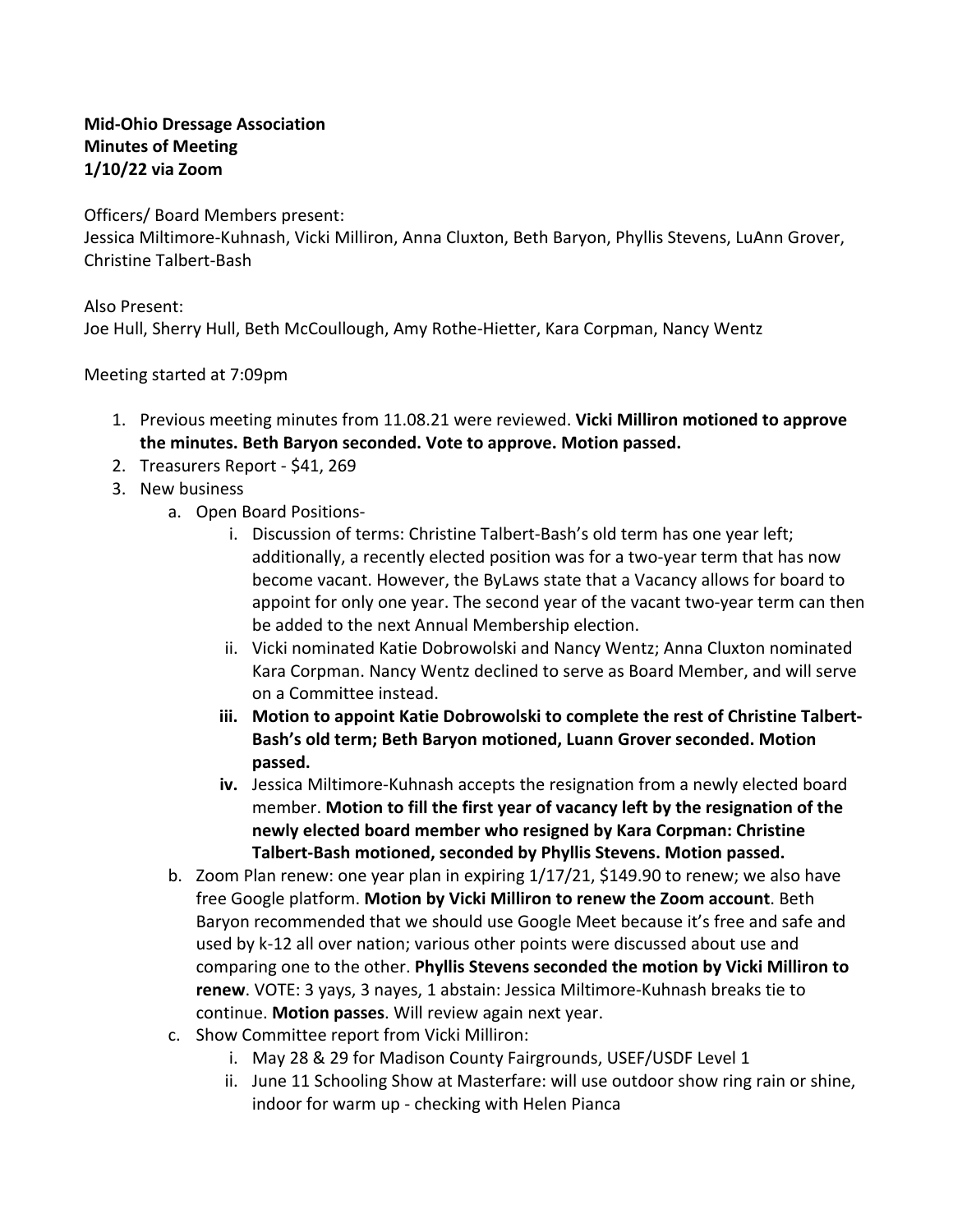## **Mid-Ohio Dressage Association Minutes of Meeting 1/10/22 via Zoom**

Officers/ Board Members present:

Jessica Miltimore-Kuhnash, Vicki Milliron, Anna Cluxton, Beth Baryon, Phyllis Stevens, LuAnn Grover, Christine Talbert-Bash

Also Present:

Joe Hull, Sherry Hull, Beth McCoullough, Amy Rothe-Hietter, Kara Corpman, Nancy Wentz

Meeting started at 7:09pm

- 1. Previous meeting minutes from 11.08.21 were reviewed. **Vicki Milliron motioned to approve the minutes. Beth Baryon seconded. Vote to approve. Motion passed.**
- 2. Treasurers Report \$41, 269
- 3. New business
	- a. Open Board Positions
		- i. Discussion of terms: Christine Talbert-Bash's old term has one year left; additionally, a recently elected position was for a two-year term that has now become vacant. However, the ByLaws state that a Vacancy allows for board to appoint for only one year. The second year of the vacant two-year term can then be added to the next Annual Membership election.
		- ii. Vicki nominated Katie Dobrowolski and Nancy Wentz; Anna Cluxton nominated Kara Corpman. Nancy Wentz declined to serve as Board Member, and will serve on a Committee instead.
		- **iii. Motion to appoint Katie Dobrowolski to complete the rest of Christine Talbert-Bash's old term; Beth Baryon motioned, Luann Grover seconded. Motion passed.**
		- **iv.** Jessica Miltimore-Kuhnash accepts the resignation from a newly elected board member. **Motion to fill the first year of vacancy left by the resignation of the newly elected board member who resigned by Kara Corpman: Christine Talbert-Bash motioned, seconded by Phyllis Stevens. Motion passed.**
	- b. Zoom Plan renew: one year plan in expiring 1/17/21, \$149.90 to renew; we also have free Google platform. **Motion by Vicki Milliron to renew the Zoom account**. Beth Baryon recommended that we should use Google Meet because it's free and safe and used by k-12 all over nation; various other points were discussed about use and comparing one to the other. **Phyllis Stevens seconded the motion by Vicki Milliron to renew**. VOTE: 3 yays, 3 nayes, 1 abstain: Jessica Miltimore-Kuhnash breaks tie to continue. **Motion passes**. Will review again next year.
	- c. Show Committee report from Vicki Milliron:
		- i. May 28 & 29 for Madison County Fairgrounds, USEF/USDF Level 1
		- ii. June 11 Schooling Show at Masterfare: will use outdoor show ring rain or shine, indoor for warm up - checking with Helen Pianca